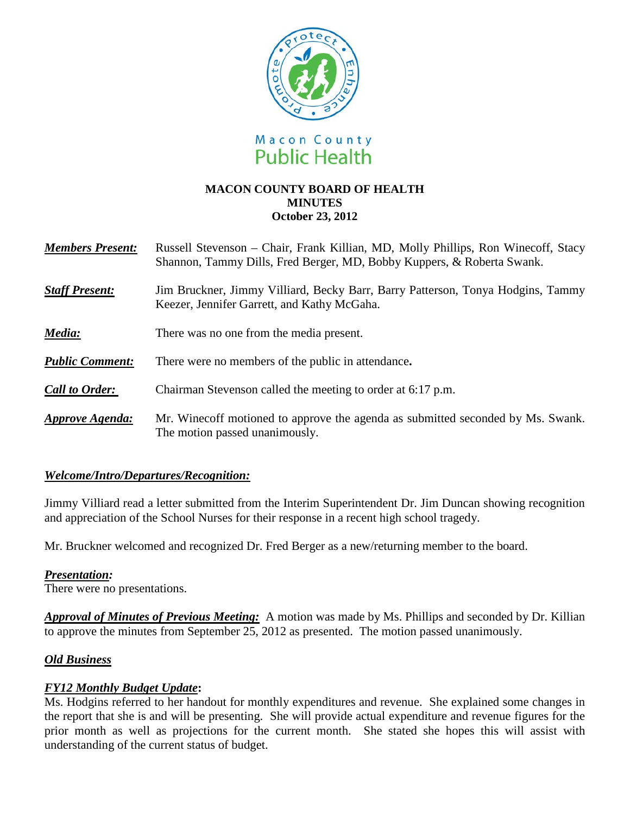

#### **MACON COUNTY BOARD OF HEALTH MINUTES October 23, 2012**

| <b>Members Present:</b> | Russell Stevenson - Chair, Frank Killian, MD, Molly Phillips, Ron Winecoff, Stacy<br>Shannon, Tammy Dills, Fred Berger, MD, Bobby Kuppers, & Roberta Swank. |
|-------------------------|-------------------------------------------------------------------------------------------------------------------------------------------------------------|
| <b>Staff Present:</b>   | Jim Bruckner, Jimmy Villiard, Becky Barr, Barry Patterson, Tonya Hodgins, Tammy<br>Keezer, Jennifer Garrett, and Kathy McGaha.                              |
| Media:                  | There was no one from the media present.                                                                                                                    |
| <b>Public Comment:</b>  | There were no members of the public in attendance.                                                                                                          |
| <b>Call to Order:</b>   | Chairman Stevenson called the meeting to order at 6:17 p.m.                                                                                                 |
| Approve Agenda:         | Mr. Winecoff motioned to approve the agenda as submitted seconded by Ms. Swank.<br>The motion passed unanimously.                                           |

## *Welcome/Intro/Departures/Recognition:*

Jimmy Villiard read a letter submitted from the Interim Superintendent Dr. Jim Duncan showing recognition and appreciation of the School Nurses for their response in a recent high school tragedy.

Mr. Bruckner welcomed and recognized Dr. Fred Berger as a new/returning member to the board.

## *Presentation:*

There were no presentations.

*Approval of Minutes of Previous Meeting:*A motion was made by Ms. Phillips and seconded by Dr. Killian to approve the minutes from September 25, 2012 as presented. The motion passed unanimously.

## *Old Business*

## *FY12 Monthly Budget Update***:**

Ms. Hodgins referred to her handout for monthly expenditures and revenue. She explained some changes in the report that she is and will be presenting. She will provide actual expenditure and revenue figures for the prior month as well as projections for the current month. She stated she hopes this will assist with understanding of the current status of budget.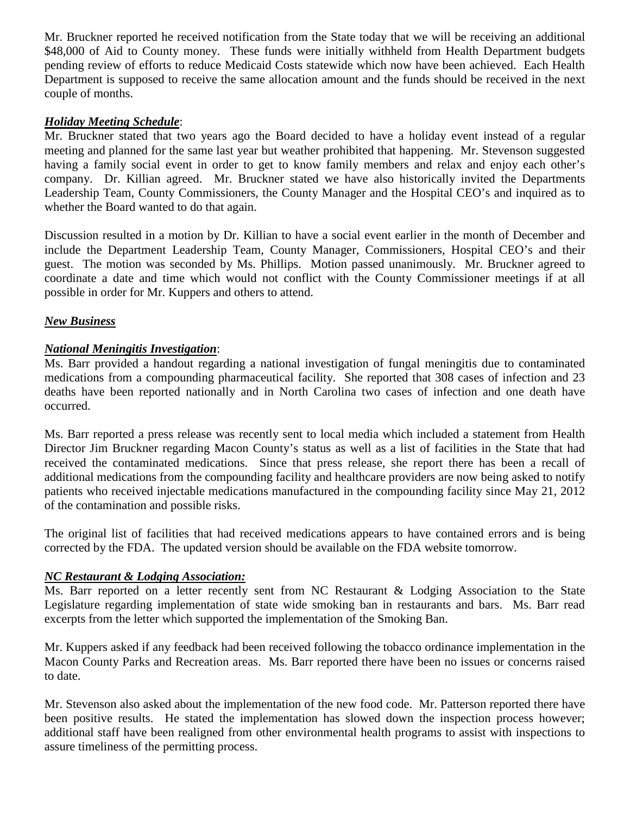Mr. Bruckner reported he received notification from the State today that we will be receiving an additional \$48,000 of Aid to County money. These funds were initially withheld from Health Department budgets pending review of efforts to reduce Medicaid Costs statewide which now have been achieved. Each Health Department is supposed to receive the same allocation amount and the funds should be received in the next couple of months.

### *Holiday Meeting Schedule*:

Mr. Bruckner stated that two years ago the Board decided to have a holiday event instead of a regular meeting and planned for the same last year but weather prohibited that happening. Mr. Stevenson suggested having a family social event in order to get to know family members and relax and enjoy each other's company. Dr. Killian agreed. Mr. Bruckner stated we have also historically invited the Departments Leadership Team, County Commissioners, the County Manager and the Hospital CEO's and inquired as to whether the Board wanted to do that again.

Discussion resulted in a motion by Dr. Killian to have a social event earlier in the month of December and include the Department Leadership Team, County Manager, Commissioners, Hospital CEO's and their guest. The motion was seconded by Ms. Phillips. Motion passed unanimously. Mr. Bruckner agreed to coordinate a date and time which would not conflict with the County Commissioner meetings if at all possible in order for Mr. Kuppers and others to attend.

#### *New Business*

#### *National Meningitis Investigation*:

Ms. Barr provided a handout regarding a national investigation of fungal meningitis due to contaminated medications from a compounding pharmaceutical facility. She reported that 308 cases of infection and 23 deaths have been reported nationally and in North Carolina two cases of infection and one death have occurred.

Ms. Barr reported a press release was recently sent to local media which included a statement from Health Director Jim Bruckner regarding Macon County's status as well as a list of facilities in the State that had received the contaminated medications. Since that press release, she report there has been a recall of additional medications from the compounding facility and healthcare providers are now being asked to notify patients who received injectable medications manufactured in the compounding facility since May 21, 2012 of the contamination and possible risks.

The original list of facilities that had received medications appears to have contained errors and is being corrected by the FDA. The updated version should be available on the FDA website tomorrow.

#### *NC Restaurant & Lodging Association:*

Ms. Barr reported on a letter recently sent from NC Restaurant & Lodging Association to the State Legislature regarding implementation of state wide smoking ban in restaurants and bars. Ms. Barr read excerpts from the letter which supported the implementation of the Smoking Ban.

Mr. Kuppers asked if any feedback had been received following the tobacco ordinance implementation in the Macon County Parks and Recreation areas. Ms. Barr reported there have been no issues or concerns raised to date.

Mr. Stevenson also asked about the implementation of the new food code. Mr. Patterson reported there have been positive results. He stated the implementation has slowed down the inspection process however; additional staff have been realigned from other environmental health programs to assist with inspections to assure timeliness of the permitting process.